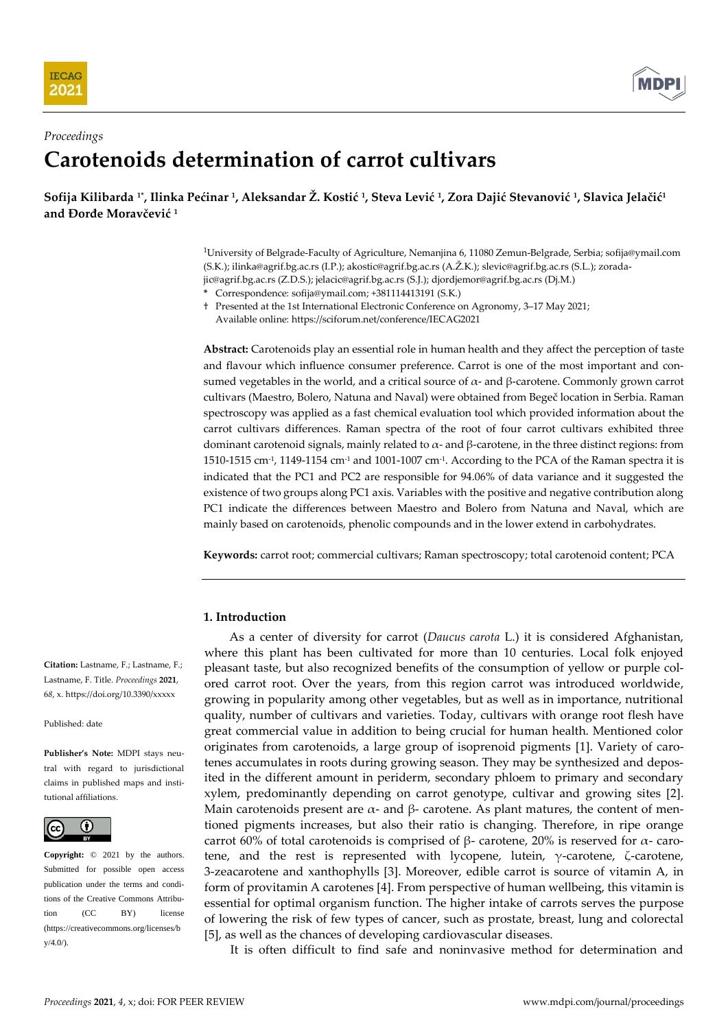



# *Proceedings* **Carotenoids determination of carrot cultivars**

Sofija Kilibarda 1\*, Ilinka Pećinar 1, Aleksandar Z. Kostić 1, Steva Lević 1, Zora Dajić Stevanović 1, Slavica Jelačić<sup>1</sup> **and Đorđe Moravčević <sup>1</sup>**

> <sup>1</sup>University of Belgrade-Faculty of Agriculture, Nemanjina 6, 11080 Zemun-Belgrade, Serbia; sofija@ymail.com (S.K.); ilinka@agrif.bg.ac.rs (I.P.); akostic@agrif.bg.ac.rs (A.Ž.K.); slevic@agrif.bg.ac.rs (S.L.); zoradajic@agrif.bg.ac.rs (Z.D.S.); jelacic@agrif.bg.ac.rs (S.J.); djordjemor@agrif.bg.ac.rs (Dj.M.)

**\*** Correspondence: sofija@ymail.com; +381114413191 (S.K.)

† Presented at the 1st International Electronic Conference on Agronomy, 3–17 May 2021; Available online: https://sciforum.net/conference/IECAG2021

**Abstract:** Carotenoids play an essential role in human health and they affect the perception of taste and flavour which influence consumer preference. Carrot is one of the most important and consumed vegetables in the world, and a critical source of  $\alpha$ - and  $\beta$ -carotene. Commonly grown carrot cultivars (Maestro, Bolero, Natuna and Naval) were obtained from Begeč location in Serbia. Raman spectroscopy was applied as a fast chemical evaluation tool which provided information about the carrot cultivars differences. Raman spectra of the root of four carrot cultivars exhibited three dominant carotenoid signals, mainly related to  $\alpha$ - and β-carotene, in the three distinct regions: from 1510-1515 cm<sup>-1</sup>, 1149-1154 cm<sup>-1</sup> and 1001-1007 cm<sup>-1</sup>. According to the PCA of the Raman spectra it is indicated that the PC1 and PC2 are responsible for 94.06% of data variance and it suggested the existence of two groups along PC1 axis. Variables with the positive and negative contribution along PC1 indicate the differences between Maestro and Bolero from Natuna and Naval, which are mainly based on carotenoids, phenolic compounds and in the lower extend in carbohydrates.

**Keywords:** carrot root; commercial cultivars; Raman spectroscopy; total carotenoid content; PCA

# **1. Introduction**

As a center of diversity for carrot (*Daucus carota* L.) it is considered Afghanistan, where this plant has been cultivated for more than 10 centuries. Local folk enjoyed pleasant taste, but also recognized benefits of the consumption of yellow or purple colored carrot root. Over the years, from this region carrot was introduced worldwide, growing in popularity among other vegetables, but as well as in importance, nutritional quality, number of cultivars and varieties. Today, cultivars with orange root flesh have great commercial value in addition to being crucial for human health. Mentioned color originates from carotenoids, a large group of isoprenoid pigments [1]. Variety of carotenes accumulates in roots during growing season. They may be synthesized and deposited in the different amount in periderm, secondary phloem to primary and secondary xylem, predominantly depending on carrot genotype, cultivar and growing sites [2]. Main carotenoids present are  $\alpha$ - and  $\beta$ - carotene. As plant matures, the content of mentioned pigments increases, but also their ratio is changing. Therefore, in ripe orange carrot 60% of total carotenoids is comprised of β- carotene, 20% is reserved for  $\alpha$ - carotene, and the rest is represented with lycopene, lutein,  $\gamma$ -carotene,  $\zeta$ -carotene, 3-zeacarotene and xanthophylls [3]. Moreover, edible carrot is source of vitamin A, in form of provitamin A carotenes [4]. From perspective of human wellbeing, this vitamin is essential for optimal organism function. The higher intake of carrots serves the purpose of lowering the risk of few types of cancer, such as prostate, breast, lung and colorectal [5], as well as the chances of developing cardiovascular diseases.

It is often difficult to find safe and noninvasive method for determination and

**Citation:** Lastname, F.; Lastname, F.; Lastname, F. Title. *Proceedings* **2021**, 6*8*, x. https://doi.org/10.3390/xxxxx

#### Published: date

**Publisher's Note:** MDPI stays neutral with regard to jurisdictional claims in published maps and institutional affiliations.



**Copyright:** © 2021 by the authors. Submitted for possible open access publication under the terms and conditions of the Creative Commons Attribution (CC BY) license (https://creativecommons.org/licenses/b  $y/4.0/$ ).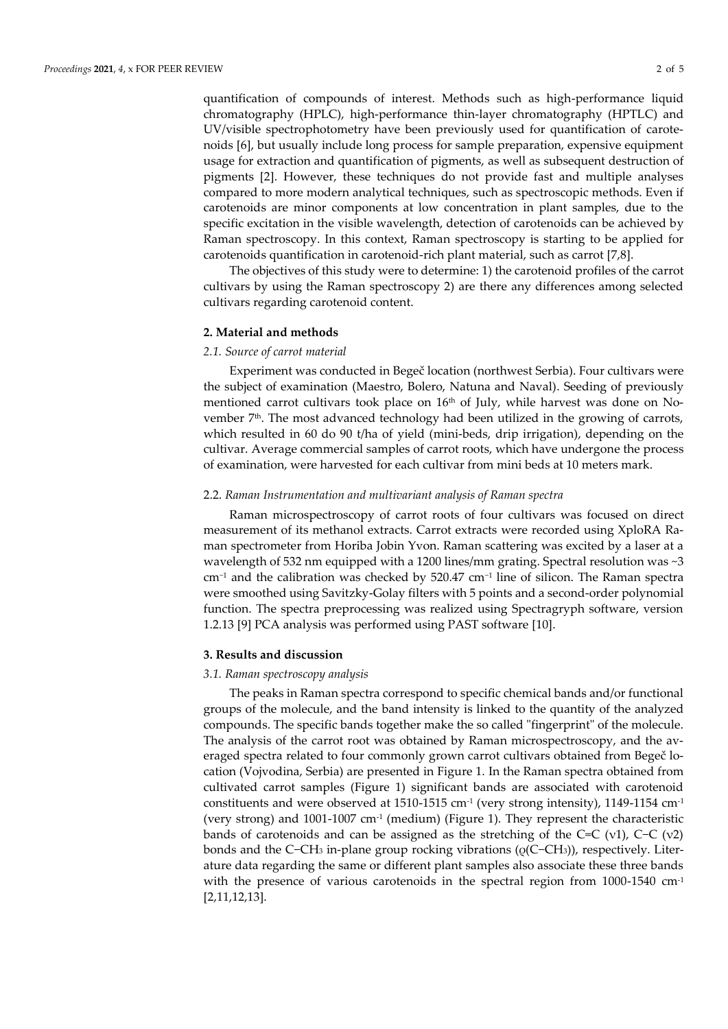quantification of compounds of interest. Methods such as high-performance liquid chromatography (HPLC), high-performance thin-layer chromatography (HPTLC) and UV/visible spectrophotometry have been previously used for quantification of carotenoids [6], but usually include long process for sample preparation, expensive equipment usage for extraction and quantification of pigments, as well as subsequent destruction of pigments [2]. However, these techniques do not provide fast and multiple analyses compared to more modern analytical techniques, such as spectroscopic methods. Even if carotenoids are minor components at low concentration in plant samples, due to the specific excitation in the visible wavelength, detection of carotenoids can be achieved by Raman spectroscopy. In this context, Raman spectroscopy is starting to be applied for carotenoids quantification in carotenoid-rich plant material, such as carrot [7,8].

The objectives of this study were to determine: 1) the carotenoid profiles of the carrot cultivars by using the Raman spectroscopy 2) are there any differences among selected cultivars regarding carotenoid content.

#### **2. Material and methods**

#### *2.1. Source of carrot material*

Experiment was conducted in Begeč location (northwest Serbia). Four cultivars were the subject of examination (Maestro, Bolero, Natuna and Naval). Seeding of previously mentioned carrot cultivars took place on  $16<sup>th</sup>$  of July, while harvest was done on November  $7<sup>th</sup>$ . The most advanced technology had been utilized in the growing of carrots, which resulted in 60 do 90 t/ha of yield (mini-beds, drip irrigation), depending on the cultivar. Average commercial samples of carrot roots, which have undergone the process of examination, were harvested for each cultivar from mini beds at 10 meters mark.

#### 2.2. *Raman Instrumentation and multivariant analysis of Raman spectra*

Raman microspectroscopy of carrot roots of four cultivars was focused on direct measurement of its methanol extracts. Carrot extracts were recorded using XploRA Raman spectrometer from Horiba Jobin Yvon. Raman scattering was excited by a laser at a wavelength of 532 nm equipped with a 1200 lines/mm grating. Spectral resolution was  $\sim$ 3 cm−<sup>1</sup> and the calibration was checked by 520.47 cm−1 line of silicon. The Raman spectra were smoothed using Savitzky-Golay filters with 5 points and a second-order polynomial function. The spectra preprocessing was realized using Spectragryph software, version 1.2.13 [9] PCA analysis was performed using PAST software [10].

#### **3. Results and discussion**

## *3.1. Raman spectroscopy analysis*

The peaks in Raman spectra correspond to specific chemical bands and/or functional groups of the molecule, and the band intensity is linked to the quantity of the analyzed compounds. The specific bands together make the so called "fingerprint" of the molecule. The analysis of the carrot root was obtained by Raman microspectroscopy, and the averaged spectra related to four commonly grown carrot cultivars obtained from Begeč location (Vojvodina, Serbia) are presented in Figure 1. In the Raman spectra obtained from cultivated carrot samples (Figure 1) significant bands are associated with carotenoid constituents and were observed at  $1510$ -1515 cm<sup>-1</sup> (very strong intensity), 1149-1154 cm<sup>-1</sup> (very strong) and 1001-1007 cm<sup>-1</sup> (medium) (Figure 1). They represent the characteristic bands of carotenoids and can be assigned as the stretching of the C=C (ν1), C−C (ν2) bonds and the C−CH<sup>3</sup> in-plane group rocking vibrations (ρ(C−CH3)), respectively. Literature data regarding the same or different plant samples also associate these three bands with the presence of various carotenoids in the spectral region from  $1000-1540$  cm<sup>-1</sup> [2,11,12,13].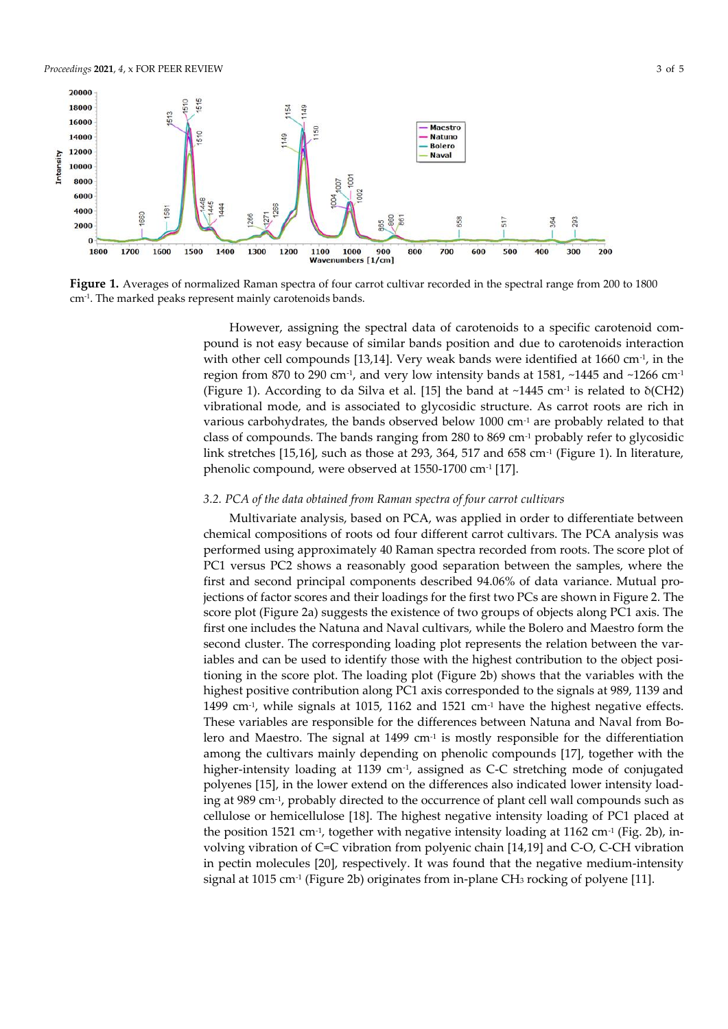

**Figure 1.** Averages of normalized Raman spectra of four carrot cultivar recorded in the spectral range from 200 to 1800 cm-1 . The marked peaks represent mainly carotenoids bands.

However, assigning the spectral data of carotenoids to a specific carotenoid compound is not easy because of similar bands position and due to carotenoids interaction with other cell compounds [13,14]. Very weak bands were identified at  $1660 \text{ cm}^2$ , in the region from 870 to 290 cm<sup>-1</sup>, and very low intensity bands at 1581,  $\sim$ 1445 and  $\sim$ 1266 cm<sup>-1</sup> (Figure 1). According to da Silva et al. [15] the band at  $\sim$ 1445 cm $\cdot$  is related to  $\delta$ (CH2) vibrational mode, and is associated to glycosidic structure. As carrot roots are rich in various carbohydrates, the bands observed below 1000 cm-1 are probably related to that class of compounds. The bands ranging from 280 to 869 cm-1 probably refer to glycosidic link stretches [15,16], such as those at 293, 364, 517 and 658 cm-1 (Figure 1). In literature, phenolic compound, were observed at 1550-1700 cm<sup>.1</sup> [17].

## *3.2. PCA of the data obtained from Raman spectra of four carrot cultivars*

Multivariate analysis, based on PCA, was applied in order to differentiate between chemical compositions of roots od four different carrot cultivars. The PCA analysis was performed using approximately 40 Raman spectra recorded from roots. The score plot of PC1 versus PC2 shows a reasonably good separation between the samples, where the first and second principal components described 94.06% of data variance. Mutual projections of factor scores and their loadings for the first two PCs are shown in Figure 2. The score plot (Figure 2a) suggests the existence of two groups of objects along PC1 axis. The first one includes the Natuna and Naval cultivars, while the Bolero and Maestro form the second cluster. The corresponding loading plot represents the relation between the variables and can be used to identify those with the highest contribution to the object positioning in the score plot. The loading plot (Figure 2b) shows that the variables with the highest positive contribution along PC1 axis corresponded to the signals at 989, 1139 and 1499 cm<sup>-1</sup>, while signals at 1015, 1162 and 1521 cm<sup>-1</sup> have the highest negative effects. These variables are responsible for the differences between Natuna and Naval from Bolero and Maestro. The signal at 1499  $cm<sup>-1</sup>$  is mostly responsible for the differentiation among the cultivars mainly depending on phenolic compounds [17], together with the higher-intensity loading at 1139 cm<sup>-1</sup>, assigned as C-C stretching mode of conjugated polyenes [15], in the lower extend on the differences also indicated lower intensity loading at 989 cm-1 , probably directed to the occurrence of plant cell wall compounds such as cellulose or hemicellulose [18]. The highest negative intensity loading of PC1 placed at the position 1521 cm<sup>-1</sup>, together with negative intensity loading at 1162 cm<sup>-1</sup> (Fig. 2b), involving vibration of C=C vibration from polyenic chain [14,19] and C-O, C-CH vibration in pectin molecules [20], respectively. It was found that the negative medium-intensity signal at 1015 cm-1 (Figure 2b) originates from in-plane CH<sup>3</sup> rocking of polyene [11].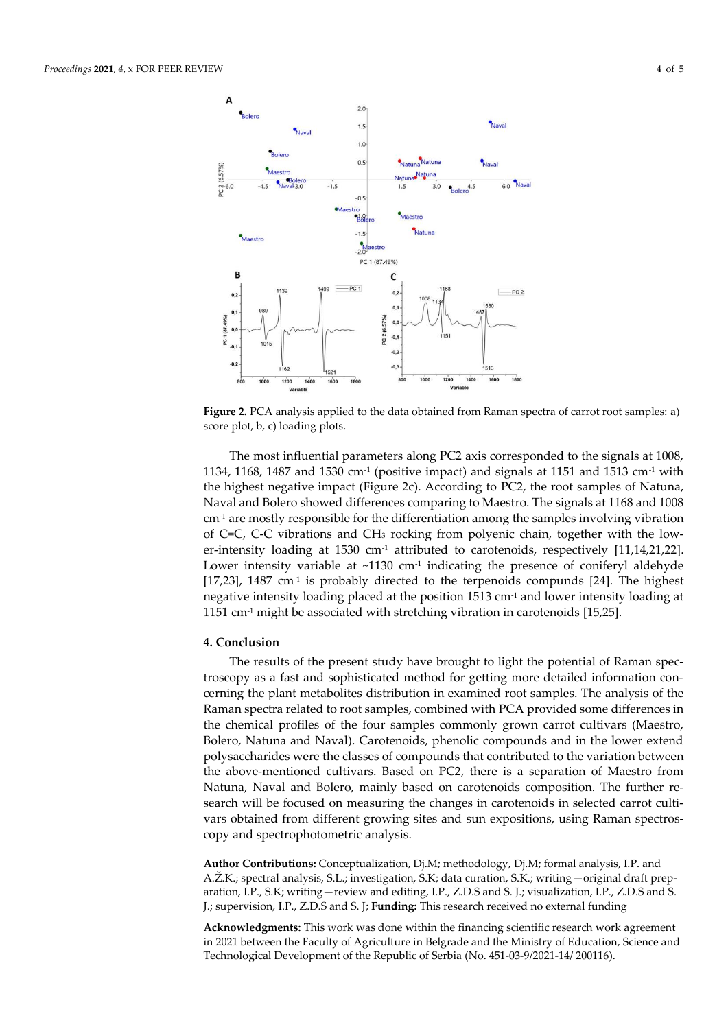

**Figure 2.** PCA analysis applied to the data obtained from Raman spectra of carrot root samples: a) score plot, b, c) loading plots.

The most influential parameters along PC2 axis corresponded to the signals at 1008, 1134, 1168, 1487 and 1530 cm<sup>-1</sup> (positive impact) and signals at 1151 and 1513 cm<sup>-1</sup> with the highest negative impact (Figure 2c). According to PC2, the root samples of Natuna, Naval and Bolero showed differences comparing to Maestro. The signals at 1168 and 1008  $cm<sup>-1</sup>$  are mostly responsible for the differentiation among the samples involving vibration of C=C, C-C vibrations and CH<sup>3</sup> rocking from polyenic chain, together with the lower-intensity loading at 1530  $cm<sup>-1</sup>$  attributed to carotenoids, respectively [11,14,21,22]. Lower intensity variable at  $\sim$ 1130 cm<sup>-1</sup> indicating the presence of coniferyl aldehyde  $[17,23]$ , 1487 cm<sup>-1</sup> is probably directed to the terpenoids compunds  $[24]$ . The highest negative intensity loading placed at the position 1513 cm-1 and lower intensity loading at 1151 cm<sup>-1</sup> might be associated with stretching vibration in carotenoids [15,25].

# **4. Conclusion**

The results of the present study have brought to light the potential of Raman spectroscopy as a fast and sophisticated method for getting more detailed information concerning the plant metabolites distribution in examined root samples. The analysis of the Raman spectra related to root samples, combined with PCA provided some differences in the chemical profiles of the four samples commonly grown carrot cultivars (Maestro, Bolero, Natuna and Naval). Carotenoids, phenolic compounds and in the lower extend polysaccharides were the classes of compounds that contributed to the variation between the above-mentioned cultivars. Based on PC2, there is a separation of Maestro from Natuna, Naval and Bolero, mainly based on carotenoids composition. The further research will be focused on measuring the changes in carotenoids in selected carrot cultivars obtained from different growing sites and sun expositions, using Raman spectroscopy and spectrophotometric analysis.

**Author Contributions:** Conceptualization, Dj.M; methodology, Dj.M; formal analysis, I.P. and A.Ž.K.; spectral analysis, S.L.; investigation, S.K; data curation, S.K.; writing—original draft preparation, I.P., S.K; writing—review and editing, I.P., Z.D.S and S. J.; visualization, I.P., Z.D.S and S. J.; supervision, I.P., Z.D.S and S. J; **Funding:** This research received no external funding

**Acknowledgments:** This work was done within the financing scientific research work agreement in 2021 between the Faculty of Agriculture in Belgrade and the Ministry of Education, Science and Technological Development of the Republic of Serbia (No. 451-03-9/2021-14/ 200116).